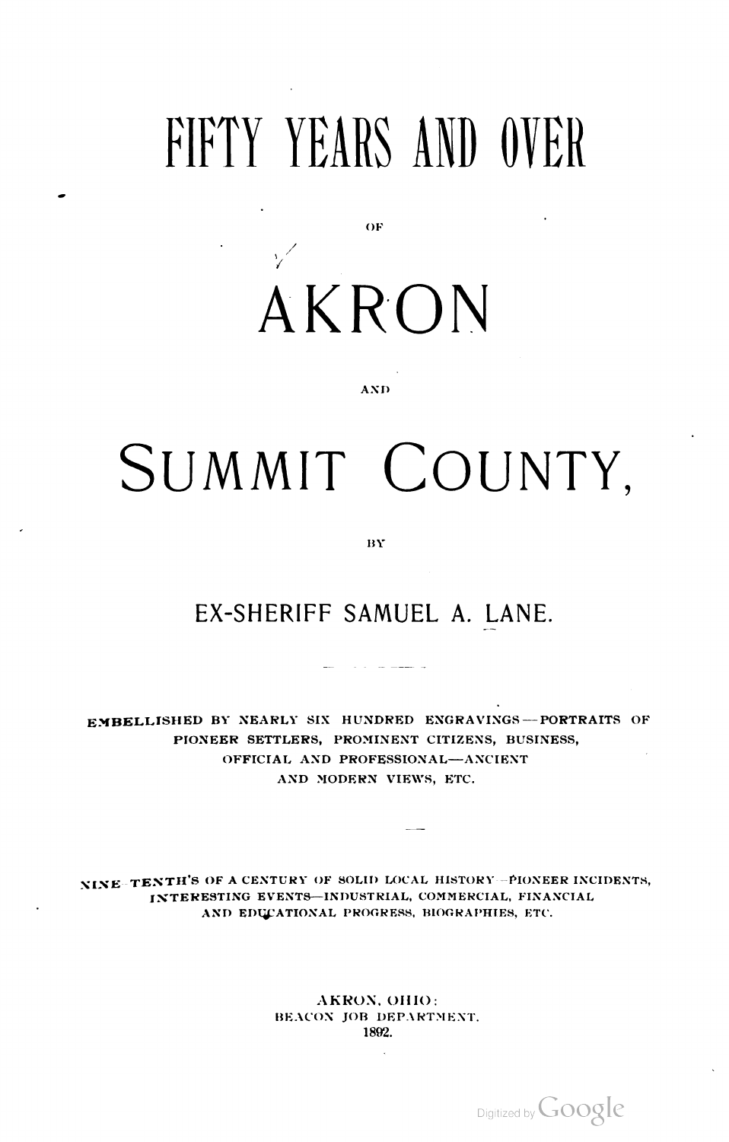## FIFTY YEARS AND OVER

/ / AKRON

OF

## **AND**

## SUMMIT COUNTY,

BY

## EX-SHERIFF SAMUEL A. LANE.

EMBELLISHED BY NEARLY SIX HUNDRED ENGRAVINGS-PORTRAITS OF PIONEER SETTLERS, PROMINENT CITIZENS, BUSINESS, OFFICIAL AND PROFESSIONAL—ANCIENT AND MODERN VIEWS, ETC.

NINE TENTH'S OF A CENTURY OF SOLID LOCAL HISTORY -PIONEER INCIDENTS,<br>INTERESTING EVENTS—INDUSTRIAL, COMMERCIAL, FINANCIAL<br>AND EDUCATIONAL PROGRESS, BIOGRAPHIES, ETC.

AKRON, OHIO: BEACON JOB DEPARTMENT. 1892.